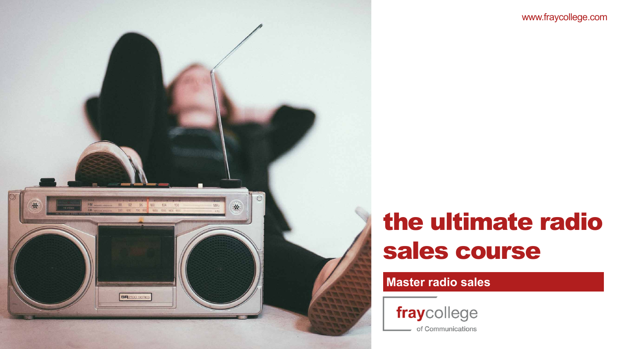## **Master radio sales**



of Communications





# the ultimate radio sales course



www.fraycollege.com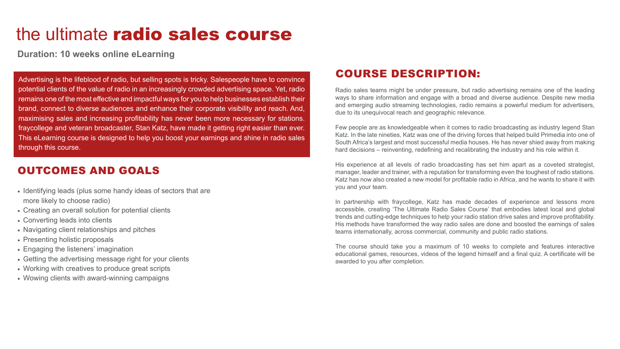## COURSE DESCRIPTION:

Radio sales teams might be under pressure, but radio advertising remains one of the leading ways to share information and engage with a broad and diverse audience. Despite new media and emerging audio streaming technologies, radio remains a powerful medium for advertisers, due to its unequivocal reach and geographic relevance.

Few people are as knowledgeable when it comes to radio broadcasting as industry legend Stan Katz. In the late nineties, Katz was one of the driving forces that helped build Primedia into one of South Africa's largest and most successful media houses. He has never shied away from making hard decisions – reinventing, redefining and recalibrating the industry and his role within it.

His experience at all levels of radio broadcasting has set him apart as a coveted strategist, manager, leader and trainer, with a reputation for transforming even the toughest of radio stations. Katz has now also created a new model for profitable radio in Africa, and he wants to share it with you and your team.

In partnership with fraycollege, Katz has made decades of experience and lessons more accessible, creating 'The Ultimate Radio Sales Course' that embodies latest local and global trends and cutting-edge techniques to help your radio station drive sales and improve profitability. His methods have transformed the way radio sales are done and boosted the earnings of sales teams internationally, across commercial, community and public radio stations.

The course should take you a maximum of 10 weeks to complete and features interactive educational games, resources, videos of the legend himself and a final quiz. A certificate will be awarded to you after completion.



# the ultimate radio sales course

### OUTCOMES AND GOALS

- Identifying leads (plus some handy ideas of sectors that are more likely to choose radio)
- Creating an overall solution for potential clients
- Converting leads into clients
- Navigating client relationships and pitches
- Presenting holistic proposals
- Engaging the listeners' imagination
- Getting the advertising message right for your clients
- Working with creatives to produce great scripts
- Wowing clients with award-winning campaigns



**Duration: 10 weeks online eLearning**

Advertising is the lifeblood of radio, but selling spots is tricky. Salespeople have to convince potential clients of the value of radio in an increasingly crowded advertising space. Yet, radio remains one of the most effective and impactful ways for you to help businesses establish their brand, connect to diverse audiences and enhance their corporate visibility and reach. And, maximising sales and increasing profitability has never been more necessary for stations. fraycollege and veteran broadcaster, Stan Katz, have made it getting right easier than ever. This eLearning course is designed to help you boost your earnings and shine in radio sales through this course.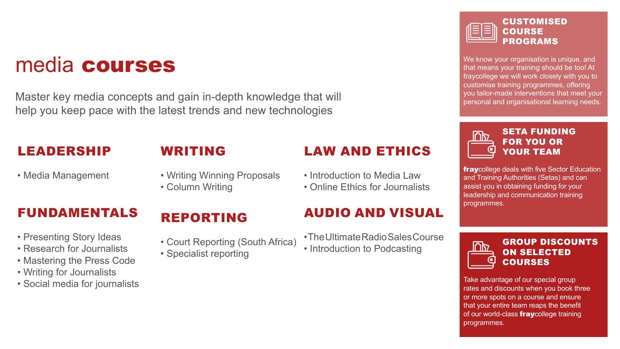We know your organisation is unique, and that means your training should be too! At fraycollege we will work closely with you to customise training programmes, offering you tailor-made interventions that meet your personal and organisational learning needs.



**fraycollege deals with five Sector Education** and Training Authorities (Setas) and can assist you in obtaining funding for your leadership and communication training programmes.



#### CUSTOMISED **COURSE** PROGRAMS

- Presenting Story Ideas
- Research for Journalists
- Mastering the Press Code
- Writing for Journalists
- Social media for journalists

#### SETA FUNDING FOR YOU OR YOUR TEAM

- The Ultimate Radio Sales Course
- Introduction to Podcasting



Take advantage of our special group rates and discounts when you book three or more spots on a course and ensure that your entire team reaps the benefit of our world-class **fray**college training programmes.





#### GROUP DISCOUNTS ON SELECTED COURSES

# media courses

## LEADERSHIP

• Media Management

# FUNDAMENTALS

# WRITING

- Writing Winning Proposals
- Column Writing

# REPORTING

- Court Reporting (South Africa)
- Specialist reporting

# LAW AND ETHICS

- Introduction to Media Law
- Online Ethics for Journalists

## AUDIO AND VISUAL

Master key media concepts and gain in-depth knowledge that will help you keep pace with the latest trends and new technologies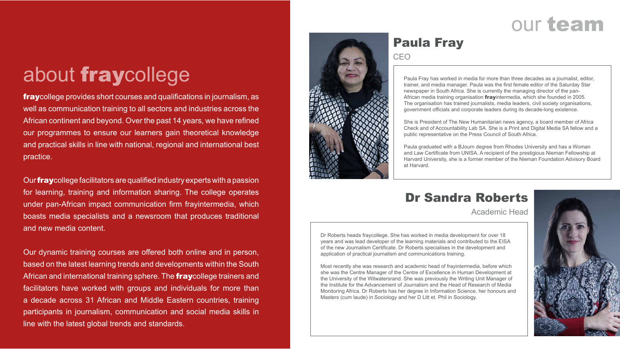# our team

## Paula Fray **CEO**



Paula Fray has worked in media for more than three decades as a journalist, editor, trainer, and media manager. Paula was the first female editor of the Saturday Star newspaper in South Africa. She is currently the managing director of the pan-African media training organisation frayintermedia, which she founded in 2005. The organisation has trained journalists, media leaders, civil society organisations, government officials and corporate leaders during its decade-long existence.

She is President of The New Humanitarian news agency, a board member of Africa Check and of Accountability Lab SA. She is a Print and Digital Media SA fellow and a public representative on the Press Council of South Africa.

**fraycollege provides short courses and qualifications in journalism, as** well as communication training to all sectors and industries across the African continent and beyond. Over the past 14 years, we have refined our programmes to ensure our learners gain theoretical knowledge and practical skills in line with national, regional and international best practice.

Our **fray** college facilitators are qualified industry experts with a passion for learning, training and information sharing. The college operates under pan-African impact communication firm frayintermedia, which boasts media specialists and a newsroom that produces traditional and new media content.

Paula graduated with a BJourn degree from Rhodes University and has a Woman and Law Certificate from UNISA. A recipient of the prestigious Nieman Fellowship at Harvard University, she is a former member of the Nieman Foundation Advisory Board at Harvard.

Our dynamic training courses are offered both online and in person, based on the latest learning trends and developments within the South African and international training sphere. The **fray**college trainers and facilitators have worked with groups and individuals for more than a decade across 31 African and Middle Eastern countries, training participants in journalism, communication and social media skills in line with the latest global trends and standards.

# about fraycollege

Dr Roberts heads fraycollege. She has worked in media development for over 18 years and was lead developer of the learning materials and contributed to the EISA of the new Journalism Certificate. Dr Roberts specialises in the development and application of practical journalism and communications training.

Most recently she was research and academic head of frayintermedia, before which she was the Centre Manager of the Centre of Excellence in Human Development at the University of the Witwatersrand. She was previously the Writing Unit Manager of the Institute for the Advancement of Journalism and the Head of Research of Media Monitoring Africa. Dr Roberts has her degree in Information Science, her honours and Masters (cum laude) in Sociology and her D Litt et. Phil in Sociology.







# Dr Sandra Roberts

Academic Head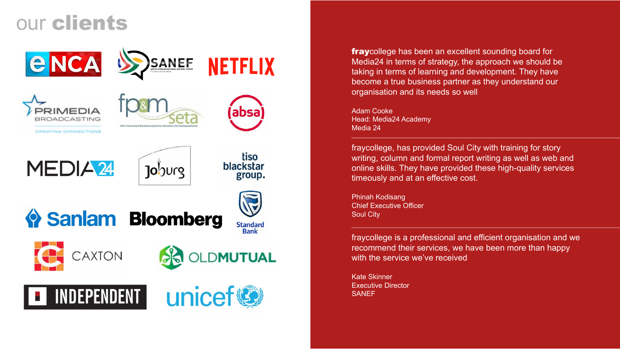Kate Skinner Executive Director SANEF

fraycollege, has provided Soul City with training for story writing, column and formal report writing as well as web and online skills. They have provided these high-quality services timeously and at an effective cost.

fraycollege has been an excellent sounding board for Media24 in terms of strategy, the approach we should be taking in terms of learning and development. They have become a true business partner as they understand our organisation and its needs so well

Phinah Kodisang Chief Executive Officer Soul City

fraycollege is a professional and efficient organisation and we recommend their services, we have been more than happy with the service we've received

Adam Cooke Head: Media24 Academy Media 24

# our clients





PRIMEDIA OADCASTING

CREATING CONNECTIONS





**NETFLIX** 





tiso blackstar group.

� Sanlam Bloomberg